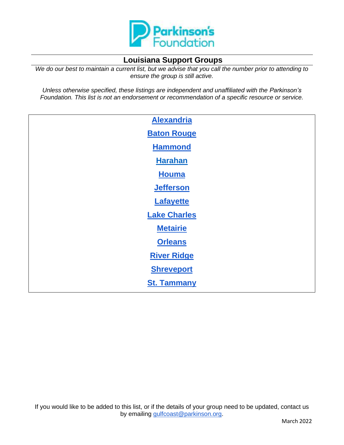

# **Louisiana Support Groups**

*We do our best to maintain a current list, but we advise that you call the number prior to attending to ensure the group is still active.*

*Unless otherwise specified, these listings are independent and unaffiliated with the Parkinson's Foundation. This list is not an endorsement or recommendation of a specific resource or service.*

<span id="page-0-0"></span>

| <b>Alexandria</b>   |  |
|---------------------|--|
| <b>Baton Rouge</b>  |  |
| <b>Hammond</b>      |  |
| <b>Harahan</b>      |  |
| <b>Houma</b>        |  |
| <b>Jefferson</b>    |  |
| <b>Lafayette</b>    |  |
| <b>Lake Charles</b> |  |
| <b>Metairie</b>     |  |
| <b>Orleans</b>      |  |
| <b>River Ridge</b>  |  |
| <b>Shreveport</b>   |  |
| <b>St. Tammany</b>  |  |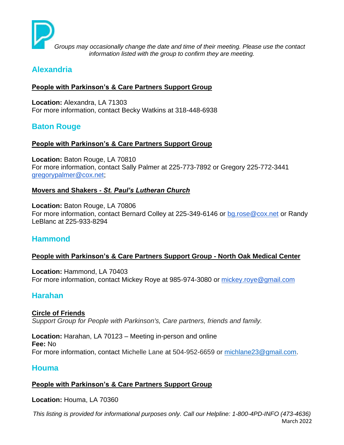

*Groups may occasionally change the date and time of their meeting. Please use the contact information listed with the group to confirm they are meeting.*

# **Alexandria**

### **People with Parkinson's & Care Partners Support Group**

**Location:** Alexandra, LA 71303 For more information, contact Becky Watkins at 318-448-6938

# <span id="page-1-0"></span>**Baton Rouge**

### **People with Parkinson's & Care Partners Support Group**

**Location:** Baton Rouge, LA 70810 For more information, contact Sally Palmer at 225-773-7892 or Gregory 225-772-3441 [gregorypalmer@cox.net;](mailto:gregorypalmer@cox.net)

### **Movers and Shakers** *- St. Paul's Lutheran Church*

**Location:** Baton Rouge, LA 70806 For more information, contact Bernard Colley at 225-349-6146 or [bg.rose@cox.net](mailto:bg.rose@cox.net) or Randy LeBlanc at 225-933-8294

# <span id="page-1-1"></span>**Hammond**

## **People with Parkinson's & Care Partners Support Group - North Oak Medical Center**

**Location:** Hammond, LA 70403 For more information, contact Mickey Roye at 985-974-3080 or [mickey.roye@gmail.com](mailto:mickey.roye@gmail.com)

# <span id="page-1-2"></span>**Harahan**

### **Circle of Friends** *Support Group for People with Parkinson's, Care partners, friends and family.*

**Location:** Harahan, LA 70123 – Meeting in-person and online **Fee:** No For more information, contact Michelle Lane at 504-952-6659 or [michlane23@gmail.com.](mailto:michlane23@gmail.com)

# <span id="page-1-3"></span>**Houma**

### **People with Parkinson's & Care Partners Support Group**

**Location:** Houma, LA 70360

*This listing is provided for informational purposes only. Call our Helpline: 1-800-4PD-INFO (473-4636)* March 2022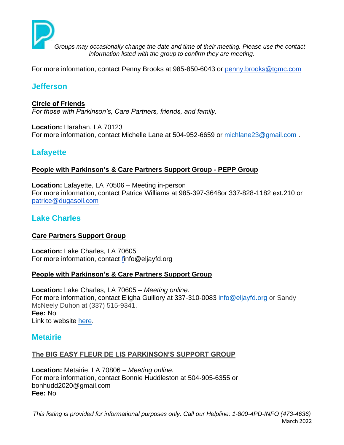

*Groups may occasionally change the date and time of their meeting. Please use the contact information listed with the group to confirm they are meeting.*

For more information, contact Penny Brooks at 985-850-6043 or [penny.brooks@tgmc.com](mailto:penny.brooks@tgmc.com)

# **Jefferson**

#### **Circle of Friends**

*For those with Parkinson's, Care Partners, friends, and family.*

**Location:** Harahan, LA 70123 For more information, contact Michelle Lane at 504-952-6659 or [michlane23@gmail.com](mailto:michlane23@gmail.com).

# <span id="page-2-0"></span>**Lafayette**

#### **People with Parkinson's & Care Partners Support Group - PEPP Group**

**Location:** Lafayette, LA 70506 – Meeting in-person For more information, contact Patrice Williams at 985-397-3648or 337-828-1182 ext.210 or [patrice@dugasoil.com](mailto:patrice@dugasoil.com)

## <span id="page-2-1"></span>**Lake Charles**

### **Care Partners Support Group**

**Location:** Lake Charles, LA 70605 For more information, contact [finfo@eljayfd.org](mailto:info@eljayfd.org)

#### **People with Parkinson's & Care Partners Support Group**

**Location:** Lake Charles, LA 70605 – *Meeting online.* For more information, contact Eligha Guillory at 337-310-0083 [info@eljayfd.org](mailto:info@eljayfd.org) or Sandy McNeely Duhon at (337) 515-9341. **Fee:** No [Link to website](https://www.facebook.com/groups/1710707392534695/) [here.](https://www.facebook.com/groups/1710707392534695/)

### <span id="page-2-2"></span>**Metairie**

### **The BIG EASY FLEUR DE LIS PARKINSON'S SUPPORT GROUP**

**Location:** Metairie, LA 70806 – *Meeting online.* For more information, contact Bonnie Huddleston at 504-905-6355 or bonhudd2020@gmail.com **Fee:** No